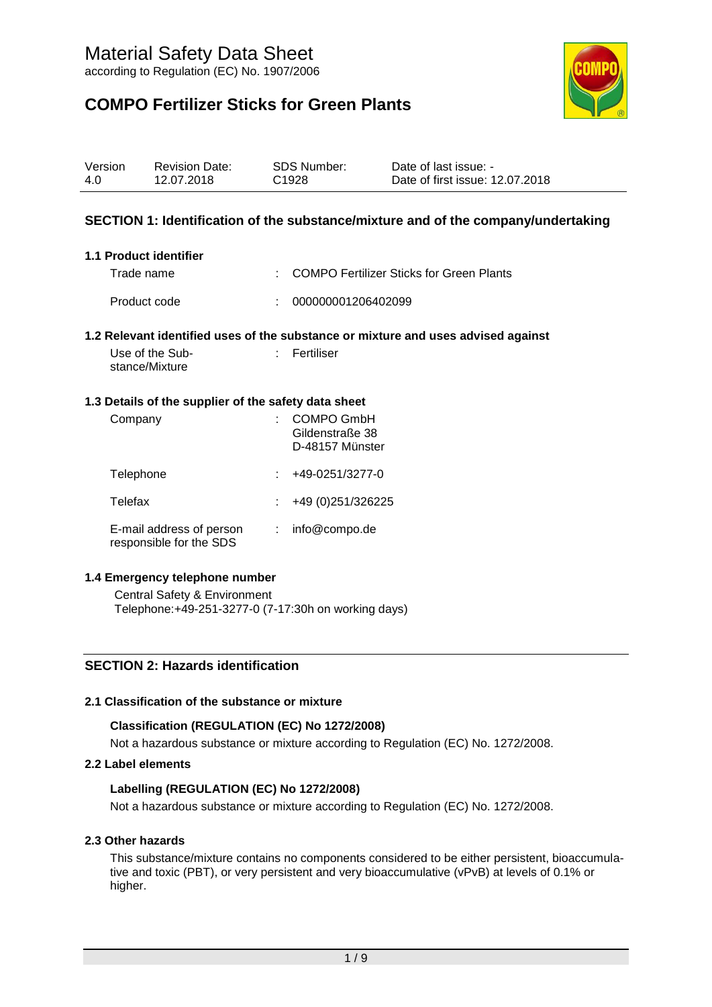## **COMPO Fertilizer Sticks for Green Plants**



| Version | <b>Revision Date:</b> | SDS Number:       | Date of last issue: -           |
|---------|-----------------------|-------------------|---------------------------------|
| 4.0     | 12.07.2018            | C <sub>1928</sub> | Date of first issue: 12.07.2018 |

## **SECTION 1: Identification of the substance/mixture and of the company/undertaking**

#### **1.1 Product identifier**

Trade name : COMPO Fertilizer Sticks for Green Plants

Product code : 000000001206402099

#### **1.2 Relevant identified uses of the substance or mixture and uses advised against**

| Use of the Sub- | : Fertiliser |
|-----------------|--------------|
| stance/Mixture  |              |

#### **1.3 Details of the supplier of the safety data sheet**

| Company                                             | <b>COMPO GmbH</b><br>Gildenstraße 38<br>D-48157 Münster |
|-----------------------------------------------------|---------------------------------------------------------|
| Telephone                                           | +49-0251/3277-0                                         |
| Telefax                                             | +49 (0) 251/326225                                      |
| E-mail address of person<br>responsible for the SDS | info@compo.de                                           |

#### **1.4 Emergency telephone number**

Central Safety & Environment Telephone:+49-251-3277-0 (7-17:30h on working days)

#### **SECTION 2: Hazards identification**

#### **2.1 Classification of the substance or mixture**

#### **Classification (REGULATION (EC) No 1272/2008)**

Not a hazardous substance or mixture according to Regulation (EC) No. 1272/2008.

#### **2.2 Label elements**

#### **Labelling (REGULATION (EC) No 1272/2008)**

Not a hazardous substance or mixture according to Regulation (EC) No. 1272/2008.

#### **2.3 Other hazards**

This substance/mixture contains no components considered to be either persistent, bioaccumulative and toxic (PBT), or very persistent and very bioaccumulative (vPvB) at levels of 0.1% or higher.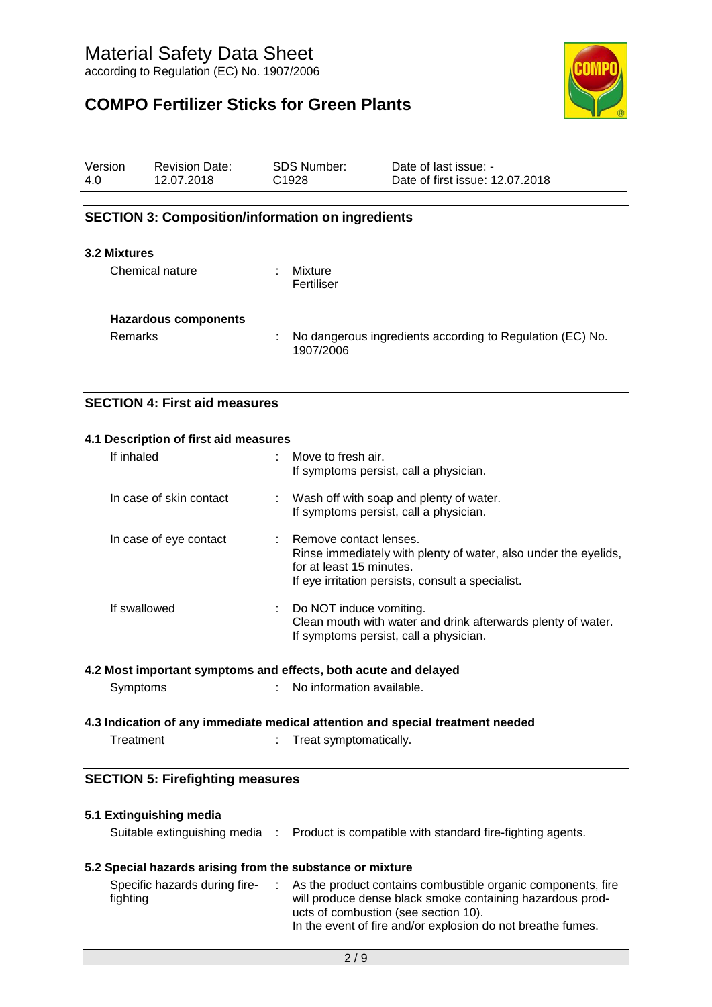## **COMPO Fertilizer Sticks for Green Plants**



| Version | <b>Revision Date:</b> | <b>SDS Number:</b> | Date of last issue: -           |
|---------|-----------------------|--------------------|---------------------------------|
| 4.0     | 12.07.2018            | C <sub>1928</sub>  | Date of first issue: 12.07.2018 |

## **SECTION 3: Composition/information on ingredients**

#### **3.2 Mixtures**

| Chemical nature             |   | Mixture<br>Fertiliser                                                  |
|-----------------------------|---|------------------------------------------------------------------------|
| <b>Hazardous components</b> |   |                                                                        |
| <b>Remarks</b>              | ÷ | No dangerous ingredients according to Regulation (EC) No.<br>1907/2006 |

## **SECTION 4: First aid measures**

#### **4.1 Description of first aid measures**

| If inhaled              | : Move to fresh air.<br>If symptoms persist, call a physician.                                                                                                               |
|-------------------------|------------------------------------------------------------------------------------------------------------------------------------------------------------------------------|
| In case of skin contact | : Wash off with soap and plenty of water.<br>If symptoms persist, call a physician.                                                                                          |
| In case of eye contact  | : Remove contact lenses.<br>Rinse immediately with plenty of water, also under the eyelids,<br>for at least 15 minutes.<br>If eye irritation persists, consult a specialist. |
| If swallowed            | Do NOT induce vomiting.<br>Clean mouth with water and drink afterwards plenty of water.<br>If symptoms persist, call a physician.                                            |

#### **4.2 Most important symptoms and effects, both acute and delayed**

## **4.3 Indication of any immediate medical attention and special treatment needed**

Treatment : Treat symptomatically.

## **SECTION 5: Firefighting measures**

# **5.1 Extinguishing media** Suitable extinguishing media : Product is compatible with standard fire-fighting agents.

## **5.2 Special hazards arising from the substance or mixture**

| Specific hazards during fire- |  | As the product contains combustible organic components, fire |
|-------------------------------|--|--------------------------------------------------------------|
| fighting                      |  | will produce dense black smoke containing hazardous prod-    |
|                               |  | ucts of combustion (see section 10).                         |
|                               |  | In the event of fire and/or explosion do not breathe fumes.  |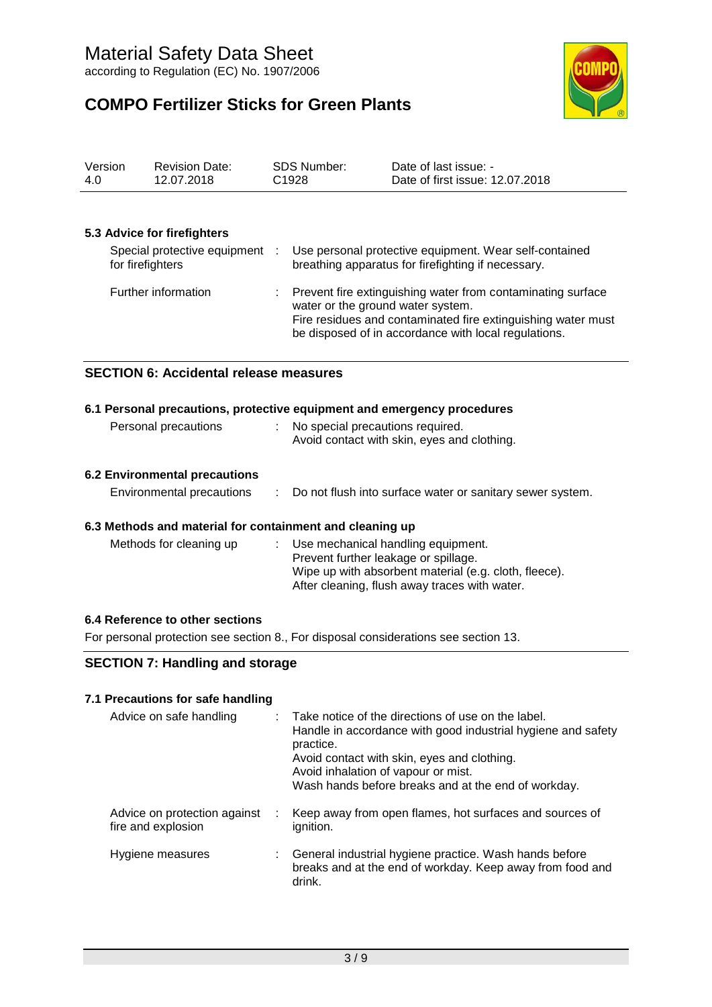**COMPO Fertilizer Sticks for Green Plants**



| Version | <b>Revision Date:</b> | <b>SDS Number:</b> | Date of last issue: -           |
|---------|-----------------------|--------------------|---------------------------------|
| -4.0    | 12.07.2018            | C <sub>1928</sub>  | Date of first issue: 12.07.2018 |

#### **5.3 Advice for firefighters**

| Special protective equipment<br>for firefighters | ÷ | Use personal protective equipment. Wear self-contained<br>breathing apparatus for firefighting if necessary.                                                                                                               |
|--------------------------------------------------|---|----------------------------------------------------------------------------------------------------------------------------------------------------------------------------------------------------------------------------|
| Further information                              |   | : Prevent fire extinguishing water from contaminating surface<br>water or the ground water system.<br>Fire residues and contaminated fire extinguishing water must<br>be disposed of in accordance with local regulations. |

#### **SECTION 6: Accidental release measures**

| 6.1 Personal precautions, protective equipment and emergency procedures |  |                                                                                   |  |  |
|-------------------------------------------------------------------------|--|-----------------------------------------------------------------------------------|--|--|
| Personal precautions                                                    |  | : No special precautions required.<br>Avoid contact with skin, eyes and clothing. |  |  |
| CO Existence and all consecutions                                       |  |                                                                                   |  |  |

#### **6.2 Environmental precautions**

| Environmental precautions |  | Do not flush into surface water or sanitary sewer system. |
|---------------------------|--|-----------------------------------------------------------|
|---------------------------|--|-----------------------------------------------------------|

### **6.3 Methods and material for containment and cleaning up**

| Methods for cleaning up | : Use mechanical handling equipment.<br>Prevent further leakage or spillage.                           |
|-------------------------|--------------------------------------------------------------------------------------------------------|
|                         | Wipe up with absorbent material (e.g. cloth, fleece).<br>After cleaning, flush away traces with water. |

#### **6.4 Reference to other sections**

For personal protection see section 8., For disposal considerations see section 13.

## **SECTION 7: Handling and storage**

#### **7.1 Precautions for safe handling**

| Advice on safe handling                            |   | : Take notice of the directions of use on the label.<br>Handle in accordance with good industrial hygiene and safety<br>practice.<br>Avoid contact with skin, eyes and clothing.<br>Avoid inhalation of vapour or mist.<br>Wash hands before breaks and at the end of workday. |
|----------------------------------------------------|---|--------------------------------------------------------------------------------------------------------------------------------------------------------------------------------------------------------------------------------------------------------------------------------|
| Advice on protection against<br>fire and explosion | ÷ | Keep away from open flames, hot surfaces and sources of<br>ignition.                                                                                                                                                                                                           |
| Hygiene measures                                   |   | General industrial hygiene practice. Wash hands before<br>breaks and at the end of workday. Keep away from food and<br>drink.                                                                                                                                                  |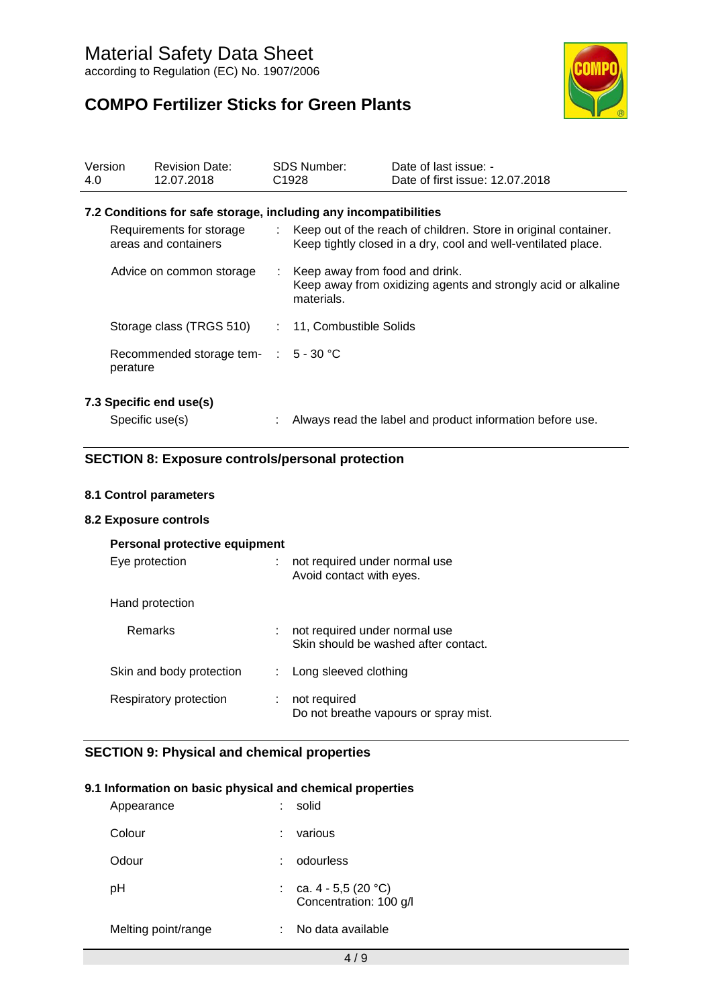**COMPO Fertilizer Sticks for Green Plants**



| Version<br>4.0 |                 | <b>Revision Date:</b><br>12.07.2018                              | <b>SDS Number:</b><br>C <sub>1928</sub>        | Date of last issue: -<br>Date of first issue: 12.07.2018                                                                           |
|----------------|-----------------|------------------------------------------------------------------|------------------------------------------------|------------------------------------------------------------------------------------------------------------------------------------|
|                |                 | 7.2 Conditions for safe storage, including any incompatibilities |                                                |                                                                                                                                    |
|                |                 | Requirements for storage<br>areas and containers                 |                                                | : Keep out of the reach of children. Store in original container.<br>Keep tightly closed in a dry, cool and well-ventilated place. |
|                |                 | Advice on common storage                                         | : Keep away from food and drink.<br>materials. | Keep away from oxidizing agents and strongly acid or alkaline                                                                      |
|                |                 | Storage class (TRGS 510)                                         | : 11, Combustible Solids                       |                                                                                                                                    |
|                | perature        | Recommended storage tem- : 5 - 30 °C                             |                                                |                                                                                                                                    |
|                | Specific use(s) | 7.3 Specific end use(s)                                          |                                                | Always read the label and product information before use.                                                                          |

## **SECTION 8: Exposure controls/personal protection**

## **8.1 Control parameters**

#### **8.2 Exposure controls**

| Personal protective equipment<br>Eye protection |   | not required under normal use<br>Avoid contact with eyes.             |
|-------------------------------------------------|---|-----------------------------------------------------------------------|
| Hand protection                                 |   |                                                                       |
| <b>Remarks</b>                                  | ÷ | not required under normal use<br>Skin should be washed after contact. |
| Skin and body protection                        |   | Long sleeved clothing                                                 |
| Respiratory protection                          |   | not required<br>Do not breathe vapours or spray mist.                 |

## **SECTION 9: Physical and chemical properties**

#### **9.1 Information on basic physical and chemical properties**

| Appearance          | solid                                             |
|---------------------|---------------------------------------------------|
| Colour              | various                                           |
| Odour               | odourless                                         |
| pH                  | : ca. $4 - 5.5$ (20 °C)<br>Concentration: 100 g/l |
| Melting point/range | No data available                                 |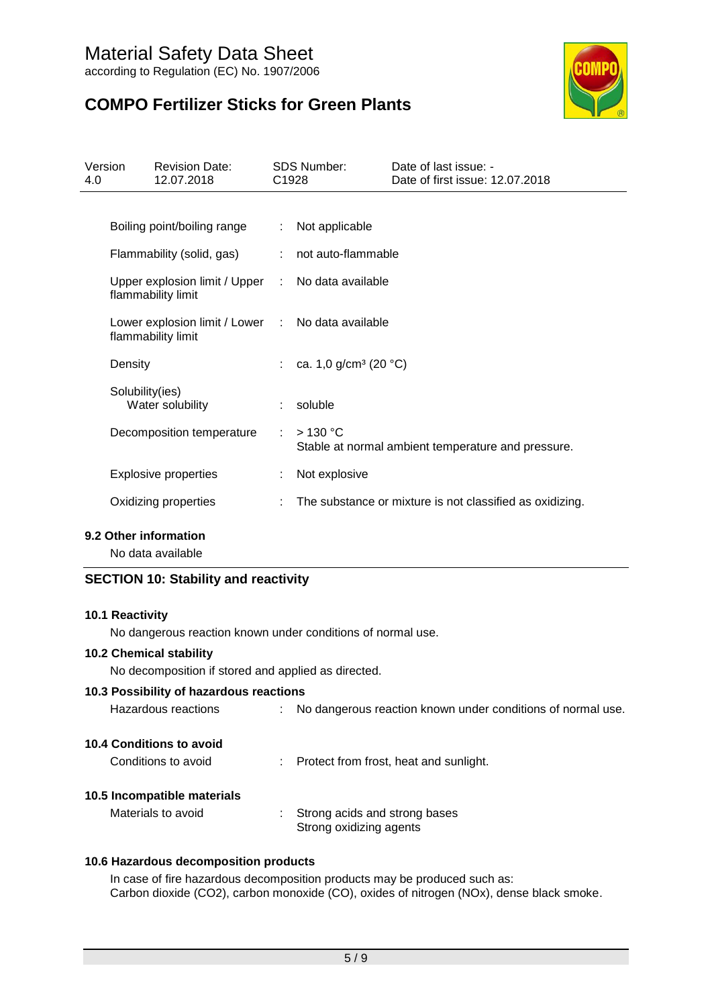

## **COMPO Fertilizer Sticks for Green Plants**

| Version<br>4.0 |                 | <b>Revision Date:</b><br>12.07.2018                                     | C <sub>1928</sub> | <b>SDS Number:</b>                  | Date of last issue: -<br>Date of first issue: 12.07.2018   |
|----------------|-----------------|-------------------------------------------------------------------------|-------------------|-------------------------------------|------------------------------------------------------------|
|                |                 |                                                                         |                   |                                     |                                                            |
|                |                 | Boiling point/boiling range                                             |                   | : Not applicable                    |                                                            |
|                |                 | Flammability (solid, gas)                                               |                   | : not auto-flammable                |                                                            |
|                |                 | Upper explosion limit / Upper : No data available<br>flammability limit |                   |                                     |                                                            |
|                |                 | Lower explosion limit / Lower : No data available<br>flammability limit |                   |                                     |                                                            |
|                | Density         |                                                                         |                   | : ca. 1,0 g/cm <sup>3</sup> (20 °C) |                                                            |
|                | Solubility(ies) | Water solubility                                                        |                   | $:$ soluble                         |                                                            |
|                |                 | Decomposition temperature                                               | ÷                 | $>130$ °C                           | Stable at normal ambient temperature and pressure.         |
|                |                 | <b>Explosive properties</b>                                             |                   | Not explosive                       |                                                            |
|                |                 | Oxidizing properties                                                    |                   |                                     | : The substance or mixture is not classified as oxidizing. |

#### **9.2 Other information**

No data available

## **SECTION 10: Stability and reactivity**

#### **10.1 Reactivity**

No dangerous reaction known under conditions of normal use.

#### **10.2 Chemical stability**

No decomposition if stored and applied as directed.

### **10.3 Possibility of hazardous reactions**

| Hazardous reactions |  |  | No dangerous reaction known under conditions of normal use. |  |
|---------------------|--|--|-------------------------------------------------------------|--|
|---------------------|--|--|-------------------------------------------------------------|--|

#### **10.4 Conditions to avoid**

| Conditions to avoid | Protect from frost, heat and sunlight. |
|---------------------|----------------------------------------|
|---------------------|----------------------------------------|

#### **10.5 Incompatible materials**

Materials to avoid : Strong acids and strong bases Strong oxidizing agents

#### **10.6 Hazardous decomposition products**

In case of fire hazardous decomposition products may be produced such as: Carbon dioxide (CO2), carbon monoxide (CO), oxides of nitrogen (NOx), dense black smoke.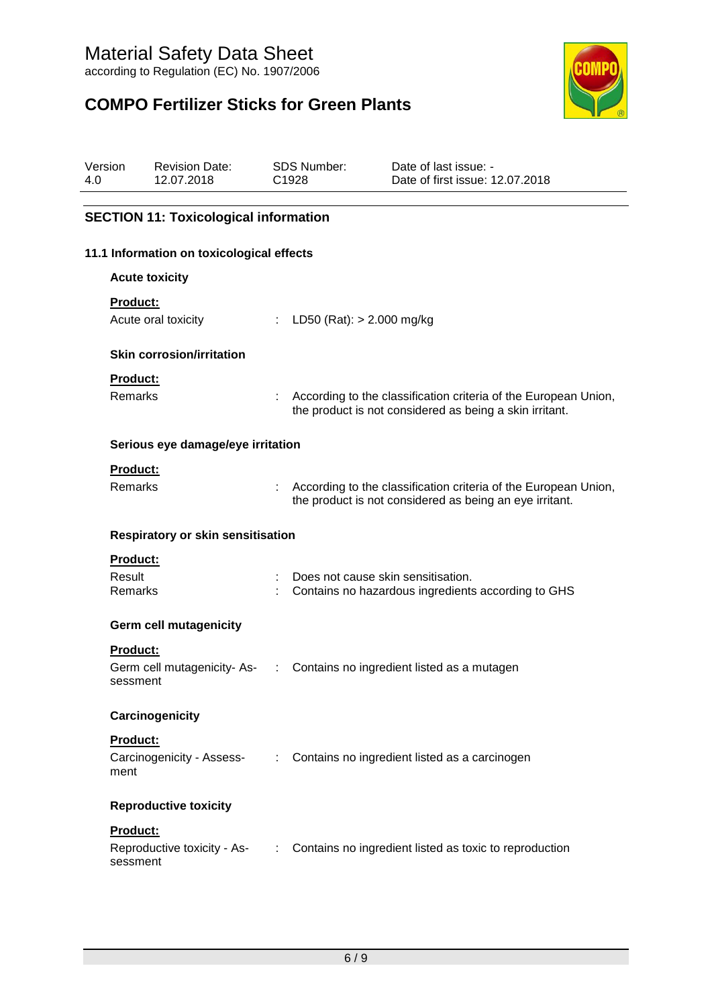## **COMPO Fertilizer Sticks for Green Plants**



| Version<br>4.0 |                 | <b>Revision Date:</b><br>12.07.2018          |   | <b>SDS Number:</b><br>C1928        | Date of last issue: -<br>Date of first issue: 12.07.2018                                                                     |
|----------------|-----------------|----------------------------------------------|---|------------------------------------|------------------------------------------------------------------------------------------------------------------------------|
|                |                 | <b>SECTION 11: Toxicological information</b> |   |                                    |                                                                                                                              |
|                |                 |                                              |   |                                    |                                                                                                                              |
|                |                 | 11.1 Information on toxicological effects    |   |                                    |                                                                                                                              |
|                |                 | <b>Acute toxicity</b>                        |   |                                    |                                                                                                                              |
|                | <b>Product:</b> |                                              |   |                                    |                                                                                                                              |
|                |                 | Acute oral toxicity                          |   | : LD50 (Rat): $> 2.000$ mg/kg      |                                                                                                                              |
|                |                 | <b>Skin corrosion/irritation</b>             |   |                                    |                                                                                                                              |
|                | Product:        |                                              |   |                                    |                                                                                                                              |
|                | Remarks         |                                              |   |                                    | : According to the classification criteria of the European Union,<br>the product is not considered as being a skin irritant. |
|                |                 | Serious eye damage/eye irritation            |   |                                    |                                                                                                                              |
|                | Product:        |                                              |   |                                    |                                                                                                                              |
|                | <b>Remarks</b>  |                                              |   |                                    | According to the classification criteria of the European Union,<br>the product is not considered as being an eye irritant.   |
|                |                 | <b>Respiratory or skin sensitisation</b>     |   |                                    |                                                                                                                              |
|                | <b>Product:</b> |                                              |   |                                    |                                                                                                                              |
|                | Result          |                                              |   | Does not cause skin sensitisation. |                                                                                                                              |
|                | Remarks         |                                              |   |                                    | Contains no hazardous ingredients according to GHS                                                                           |
|                |                 | <b>Germ cell mutagenicity</b>                |   |                                    |                                                                                                                              |
|                | <b>Product:</b> |                                              |   |                                    |                                                                                                                              |
|                | sessment        | Germ cell mutagenicity- As-                  | ÷ |                                    | Contains no ingredient listed as a mutagen                                                                                   |
|                |                 | Carcinogenicity                              |   |                                    |                                                                                                                              |
|                | Product:        |                                              |   |                                    |                                                                                                                              |
|                | ment            |                                              |   |                                    | Carcinogenicity - Assess- : Contains no ingredient listed as a carcinogen                                                    |
|                |                 | <b>Reproductive toxicity</b>                 |   |                                    |                                                                                                                              |
|                | Product:        |                                              |   |                                    |                                                                                                                              |
|                | sessment        | Reproductive toxicity - As-                  | ÷ |                                    | Contains no ingredient listed as toxic to reproduction                                                                       |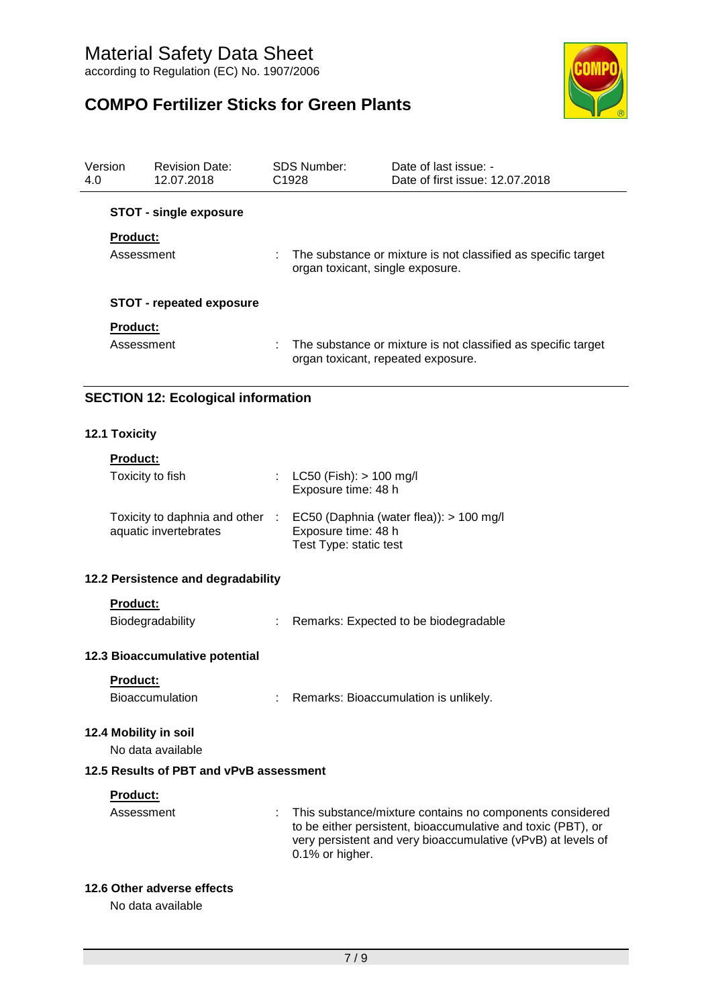## **COMPO Fertilizer Sticks for Green Plants**



| 4.0 | Version                | <b>Revision Date:</b><br>12.07.2018                      |    | <b>SDS Number:</b><br>C1928                        | Date of last issue: -<br>Date of first issue: 12.07.2018                                                                                                                                 |
|-----|------------------------|----------------------------------------------------------|----|----------------------------------------------------|------------------------------------------------------------------------------------------------------------------------------------------------------------------------------------------|
|     |                        | <b>STOT - single exposure</b>                            |    |                                                    |                                                                                                                                                                                          |
|     | <b>Product:</b>        |                                                          |    |                                                    |                                                                                                                                                                                          |
|     | Assessment             |                                                          |    | organ toxicant, single exposure.                   | The substance or mixture is not classified as specific target                                                                                                                            |
|     |                        | <b>STOT - repeated exposure</b>                          |    |                                                    |                                                                                                                                                                                          |
|     | <b>Product:</b>        |                                                          |    |                                                    |                                                                                                                                                                                          |
|     | Assessment             |                                                          |    | organ toxicant, repeated exposure.                 | The substance or mixture is not classified as specific target                                                                                                                            |
|     |                        | <b>SECTION 12: Ecological information</b>                |    |                                                    |                                                                                                                                                                                          |
|     | <b>12.1 Toxicity</b>   |                                                          |    |                                                    |                                                                                                                                                                                          |
|     | <b>Product:</b>        |                                                          |    |                                                    |                                                                                                                                                                                          |
|     |                        | Toxicity to fish                                         | t. | $LC50$ (Fish): $> 100$ mg/l<br>Exposure time: 48 h |                                                                                                                                                                                          |
|     |                        | Toxicity to daphnia and other :<br>aquatic invertebrates |    | Exposure time: 48 h<br>Test Type: static test      | EC50 (Daphnia (water flea)): > 100 mg/l                                                                                                                                                  |
|     |                        | 12.2 Persistence and degradability                       |    |                                                    |                                                                                                                                                                                          |
|     | <b>Product:</b>        |                                                          |    |                                                    |                                                                                                                                                                                          |
|     |                        | Biodegradability                                         |    |                                                    | Remarks: Expected to be biodegradable                                                                                                                                                    |
|     |                        | 12.3 Bioaccumulative potential                           |    |                                                    |                                                                                                                                                                                          |
|     | Product:               |                                                          |    |                                                    |                                                                                                                                                                                          |
|     |                        | Bioaccumulation                                          |    |                                                    | Remarks: Bioaccumulation is unlikely.                                                                                                                                                    |
|     |                        | 12.4 Mobility in soil<br>No data available               |    |                                                    |                                                                                                                                                                                          |
|     |                        | 12.5 Results of PBT and vPvB assessment                  |    |                                                    |                                                                                                                                                                                          |
|     |                        |                                                          |    |                                                    |                                                                                                                                                                                          |
|     | Product:<br>Assessment |                                                          | ÷  | 0.1% or higher.                                    | This substance/mixture contains no components considered<br>to be either persistent, bioaccumulative and toxic (PBT), or<br>very persistent and very bioaccumulative (vPvB) at levels of |

## **12.6 Other adverse effects**

No data available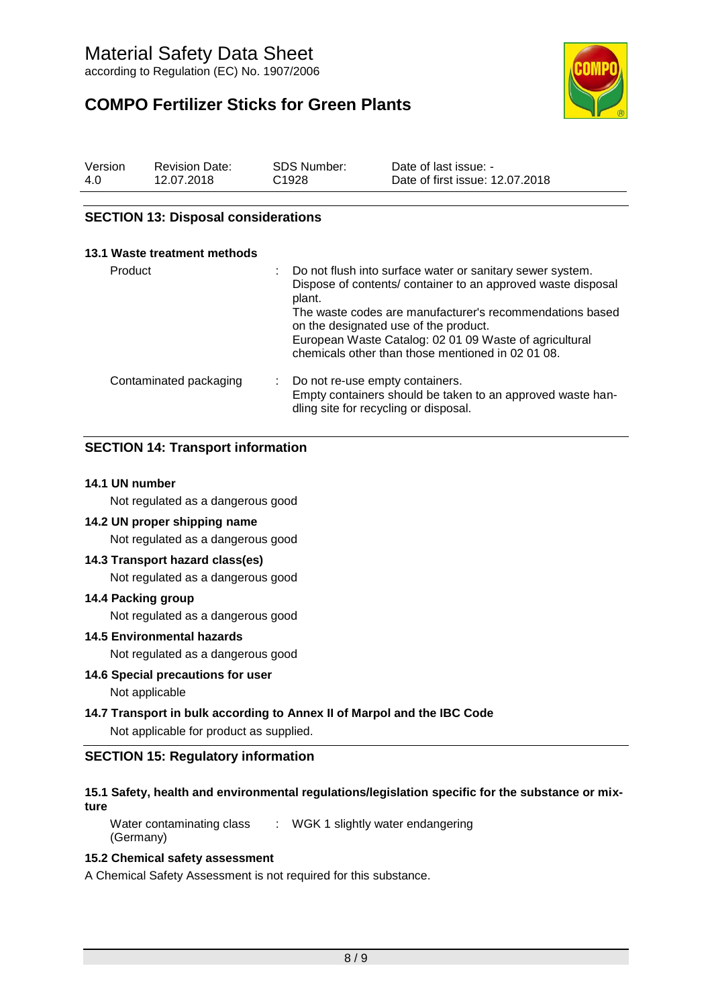**COMPO Fertilizer Sticks for Green Plants**



| Version | <b>Revision Date:</b> | <b>SDS Number:</b> | Date of last issue: -           |
|---------|-----------------------|--------------------|---------------------------------|
| 4.0     | 12.07.2018            | C <sub>1928</sub>  | Date of first issue: 12.07.2018 |

### **SECTION 13: Disposal considerations**

| 13.1 Waste treatment methods |                                                                                                                                                                                                                                                                                                                                                         |
|------------------------------|---------------------------------------------------------------------------------------------------------------------------------------------------------------------------------------------------------------------------------------------------------------------------------------------------------------------------------------------------------|
| Product                      | Do not flush into surface water or sanitary sewer system.<br>Dispose of contents/ container to an approved waste disposal<br>plant.<br>The waste codes are manufacturer's recommendations based<br>on the designated use of the product.<br>European Waste Catalog: 02 01 09 Waste of agricultural<br>chemicals other than those mentioned in 02 01 08. |
| Contaminated packaging       | Do not re-use empty containers.<br>Empty containers should be taken to an approved waste han-<br>dling site for recycling or disposal.                                                                                                                                                                                                                  |

## **SECTION 14: Transport information**

#### **14.1 UN number**

Not regulated as a dangerous good

#### **14.2 UN proper shipping name**

Not regulated as a dangerous good

#### **14.3 Transport hazard class(es)**

Not regulated as a dangerous good

#### **14.4 Packing group**

Not regulated as a dangerous good

#### **14.5 Environmental hazards**

Not regulated as a dangerous good

#### **14.6 Special precautions for user**

Not applicable

## **14.7 Transport in bulk according to Annex II of Marpol and the IBC Code**

Not applicable for product as supplied.

## **SECTION 15: Regulatory information**

#### **15.1 Safety, health and environmental regulations/legislation specific for the substance or mixture**

Water contaminating class : WGK 1 slightly water endangering (Germany)

### **15.2 Chemical safety assessment**

A Chemical Safety Assessment is not required for this substance.